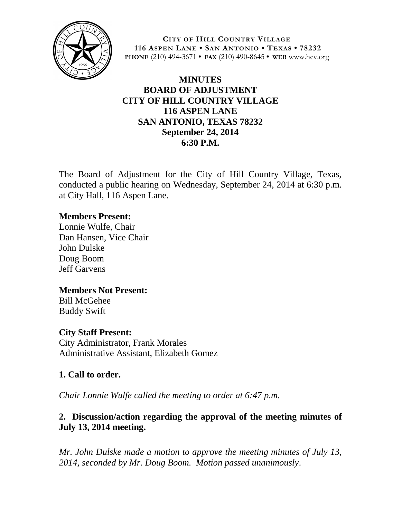

**CITY OF HILL COUNTRY VILLAGE 116 ASPEN LANE • SAN ANTONIO • TEXAS • 78232 PHONE** (210) 494-3671 **• FAX** (210) 490-8645 **• WEB** www.hcv.org

# **MINUTES BOARD OF ADJUSTMENT CITY OF HILL COUNTRY VILLAGE 116 ASPEN LANE SAN ANTONIO, TEXAS 78232 September 24, 2014 6:30 P.M.**

The Board of Adjustment for the City of Hill Country Village, Texas, conducted a public hearing on Wednesday, September 24, 2014 at 6:30 p.m. at City Hall, 116 Aspen Lane.

#### **Members Present:**

Lonnie Wulfe, Chair Dan Hansen, Vice Chair John Dulske Doug Boom Jeff Garvens

# **Members Not Present:**

Bill McGehee Buddy Swift

#### **City Staff Present:**

City Administrator, Frank Morales Administrative Assistant, Elizabeth Gomez

#### **1. Call to order.**

*Chair Lonnie Wulfe called the meeting to order at 6:47 p.m.* 

# **2. Discussion/action regarding the approval of the meeting minutes of July 13, 2014 meeting.**

*Mr. John Dulske made a motion to approve the meeting minutes of July 13, 2014, seconded by Mr. Doug Boom. Motion passed unanimously*.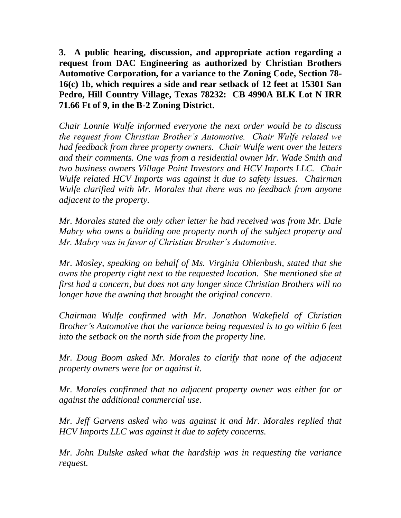**3. A public hearing, discussion, and appropriate action regarding a request from DAC Engineering as authorized by Christian Brothers Automotive Corporation, for a variance to the Zoning Code, Section 78- 16(c) 1b, which requires a side and rear setback of 12 feet at 15301 San Pedro, Hill Country Village, Texas 78232: CB 4990A BLK Lot N IRR 71.66 Ft of 9, in the B-2 Zoning District.**

*Chair Lonnie Wulfe informed everyone the next order would be to discuss the request from Christian Brother's Automotive. Chair Wulfe related we had feedback from three property owners. Chair Wulfe went over the letters and their comments. One was from a residential owner Mr. Wade Smith and two business owners Village Point Investors and HCV Imports LLC. Chair Wulfe related HCV Imports was against it due to safety issues. Chairman Wulfe clarified with Mr. Morales that there was no feedback from anyone adjacent to the property.* 

*Mr. Morales stated the only other letter he had received was from Mr. Dale Mabry who owns a building one property north of the subject property and Mr. Mabry was in favor of Christian Brother's Automotive.*

*Mr. Mosley, speaking on behalf of Ms. Virginia Ohlenbush, stated that she owns the property right next to the requested location. She mentioned she at first had a concern, but does not any longer since Christian Brothers will no longer have the awning that brought the original concern.*

*Chairman Wulfe confirmed with Mr. Jonathon Wakefield of Christian Brother's Automotive that the variance being requested is to go within 6 feet into the setback on the north side from the property line.* 

*Mr. Doug Boom asked Mr. Morales to clarify that none of the adjacent property owners were for or against it.* 

*Mr. Morales confirmed that no adjacent property owner was either for or against the additional commercial use.*

*Mr. Jeff Garvens asked who was against it and Mr. Morales replied that HCV Imports LLC was against it due to safety concerns.*

*Mr. John Dulske asked what the hardship was in requesting the variance request.*